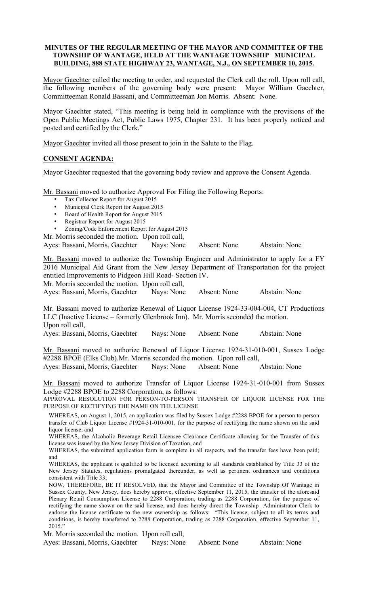#### **MINUTES OF THE REGULAR MEETING OF THE MAYOR AND COMMITTEE OF THE TOWNSHIP OF WANTAGE, HELD AT THE WANTAGE TOWNSHIP MUNICIPAL BUILDING, 888 STATE HIGHWAY 23, WANTAGE, N.J., ON SEPTEMBER 10, 2015.**

Mayor Gaechter called the meeting to order, and requested the Clerk call the roll. Upon roll call, the following members of the governing body were present: Mayor William Gaechter, Committeeman Ronald Bassani, and Committeeman Jon Morris. Absent: None.

Mayor Gaechter stated, "This meeting is being held in compliance with the provisions of the Open Public Meetings Act, Public Laws 1975, Chapter 231. It has been properly noticed and posted and certified by the Clerk."

Mayor Gaechter invited all those present to join in the Salute to the Flag.

# **CONSENT AGENDA:**

Mayor Gaechter requested that the governing body review and approve the Consent Agenda.

Mr. Bassani moved to authorize Approval For Filing the Following Reports:

- Tax Collector Report for August 2015
- Municipal Clerk Report for August 2015
- Board of Health Report for August 2015
- Registrar Report for August 2015

• Zoning/Code Enforcement Report for August 2015

Mr. Morris seconded the motion. Upon roll call,

Ayes: Bassani, Morris, Gaechter Nays: None Absent: None Abstain: None

Mr. Bassani moved to authorize the Township Engineer and Administrator to apply for a FY 2016 Municipal Aid Grant from the New Jersey Department of Transportation for the project entitled Improvements to Pidgeon Hill Road- Section IV.

Mr. Morris seconded the motion. Upon roll call,

Ayes: Bassani, Morris, Gaechter Nays: None Absent: None Abstain: None

Mr. Bassani moved to authorize Renewal of Liquor License 1924-33-004-004, CT Productions LLC (Inactive License – formerly Glenbrook Inn). Mr. Morris seconded the motion. Upon roll call,

Ayes: Bassani, Morris, Gaechter Nays: None Absent: None Abstain: None

Mr. Bassani moved to authorize Renewal of Liquor License 1924-31-010-001, Sussex Lodge #2288 BPOE (Elks Club).Mr. Morris seconded the motion. Upon roll call,

Ayes: Bassani, Morris, Gaechter Nays: None Absent: None Abstain: None

Mr. Bassani moved to authorize Transfer of Liquor License 1924-31-010-001 from Sussex Lodge #2288 BPOE to 2288 Corporation, as follows:

APPROVAL RESOLUTION FOR PERSON-TO-PERSON TRANSFER OF LIQUOR LICENSE FOR THE PURPOSE OF RECTIFYING THE NAME ON THE LICENSE

WHEREAS, on August 1, 2015, an application was filed by Sussex Lodge #2288 BPOE for a person to person transfer of Club Liquor License #1924-31-010-001, for the purpose of rectifying the name shown on the said liquor license; and

WHEREAS, the Alcoholic Beverage Retail Licensee Clearance Certificate allowing for the Transfer of this license was issued by the New Jersey Division of Taxation, and

WHEREAS, the submitted application form is complete in all respects, and the transfer fees have been paid; and

WHEREAS, the applicant is qualified to be licensed according to all standards established by Title 33 of the New Jersey Statutes, regulations promulgated thereunder, as well as pertinent ordinances and conditions consistent with Title 33;

NOW, THEREFORE, BE IT RESOLVED, that the Mayor and Committee of the Township Of Wantage in Sussex County, New Jersey, does hereby approve, effective September 11, 2015, the transfer of the aforesaid Plenary Retail Consumption License to 2288 Corporation, trading as 2288 Corporation, for the purpose of rectifying the name shown on the said license, and does hereby direct the Township Administrator Clerk to endorse the license certificate to the new ownership as follows: "This license, subject to all its terms and conditions, is hereby transferred to 2288 Corporation, trading as 2288 Corporation, effective September 11, 2015."

Mr. Morris seconded the motion. Upon roll call, Ayes: Bassani, Morris, Gaechter Nays: None Absent: None Abstain: None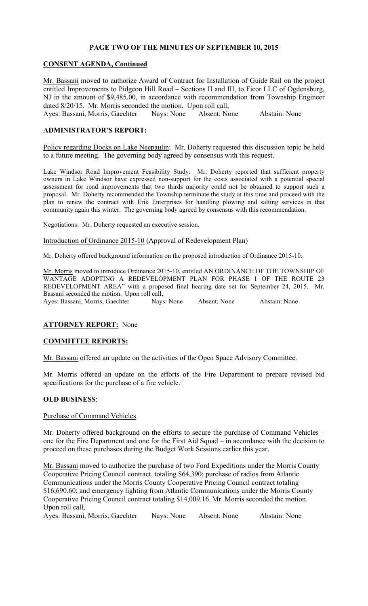# **PAGE TWO OF THE MINUTES OF SEPTEMBER 10, 2015**

### **CONSENT AGENDA, Continued**

Mr. Bassani moved to authorize Award of Contract for Installation of Guide Rail on the project entitled Improvements to Pidgeon Hill Road – Sections II and III, to Ficor LLC of Ogdensburg, NJ in the amount of \$9,485.00, in accordance with recommendation from Township Engineer dated 8/20/15. Mr. Morris seconded the motion. Upon roll call,

Ayes: Bassani, Morris, Gaechter Nays: None Absent: None Abstain: None

### **ADMINISTRATOR'S REPORT:**

Policy regarding Docks on Lake Neepaulin: Mr. Doherty requested this discussion topic be held to a future meeting. The governing body agreed by consensus with this request.

Lake Windsor Road Improvement Feasibility Study: Mr. Doherty reported that sufficient property owners in Lake Windsor have expressed non-support for the costs associated with a potential special assessment for road improvements that two thirds majority could not be obtained to support such a proposal. Mr. Doherty recommended the Township terminate the study at this time and proceed with the plan to renew the contract with Erik Enterprises for handling plowing and salting services in that community again this winter. The governing body agreed by consensus with this recommendation.

Negotiations: Mr. Doherty requested an executive session.

Introduction of Ordinance 2015-10 (Approval of Redevelopment Plan)

Mr. Doherty offered background information on the proposed introduction of Ordinance 2015-10.

Mr. Morris moved to introduce Ordinance 2015-10, entitled AN ORDINANCE OF THE TOWNSHIP OF WANTAGE ADOPTING A REDEVELOPMENT PLAN FOR PHASE 1 OF THE ROUTE 23 REDEVELOPMENT AREA" with a proposed final hearing date set for September 24, 2015. Mr. Bassani seconded the motion. Upon roll call,

Ayes: Bassani, Morris, Gaechter Nays: None Absent: None Abstain: None

### **ATTORNEY REPORT:** None

### **COMMITTEE REPORTS:**

Mr. Bassani offered an update on the activities of the Open Space Advisory Committee.

Mr. Morris offered an update on the efforts of the Fire Department to prepare revised bid specifications for the purchase of a fire vehicle.

### **OLD BUSINESS**:

### Purchase of Command Vehicles

Mr. Doherty offered background on the efforts to secure the purchase of Command Vehicles – one for the Fire Department and one for the First Aid Squad – in accordance with the decision to proceed on these purchases during the Budget Work Sessions earlier this year.

Mr. Bassani moved to authorize the purchase of two Ford Expeditions under the Morris County Cooperative Pricing Council contract, totaling \$64,390; purchase of radios from Atlantic Communications under the Morris County Cooperative Pricing Council contract totaling \$16,690.60; and emergency lighting from Atlantic Communications under the Morris County Cooperative Pricing Council contract totaling \$14,009.16. Mr. Morris seconded the motion. Upon roll call,

Ayes: Bassani, Morris, Gaechter Nays: None Absent: None Abstain: None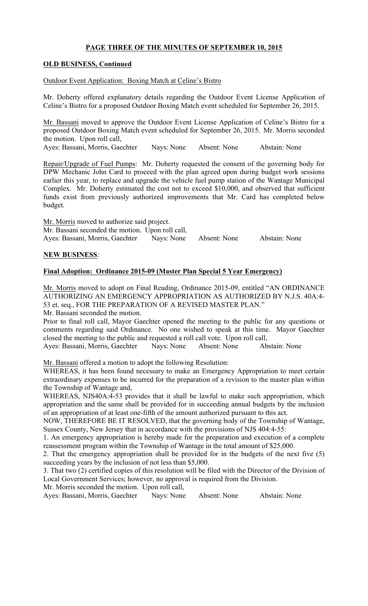## **PAGE THREE OF THE MINUTES OF SEPTEMBER 10, 2015**

### **OLD BUSINESS, Continued**

#### Outdoor Event Application: Boxing Match at Celine's Bistro

Mr. Doherty offered explanatory details regarding the Outdoor Event License Application of Celine's Bistro for a proposed Outdoor Boxing Match event scheduled for September 26, 2015.

Mr. Bassani moved to approve the Outdoor Event License Application of Celine's Bistro for a proposed Outdoor Boxing Match event scheduled for September 26, 2015. Mr. Morris seconded the motion. Upon roll call,

Ayes: Bassani, Morris, Gaechter Nays: None Absent: None Abstain: None

Repair/Upgrade of Fuel Pumps: Mr. Doherty requested the consent of the governing body for DPW Mechanic John Card to proceed with the plan agreed upon during budget work sessions earlier this year, to replace and upgrade the vehicle fuel pump station of the Wantage Municipal Complex. Mr. Doherty estimated the cost not to exceed \$10,000, and observed that sufficient funds exist from previously authorized improvements that Mr. Card has completed below budget.

Mr. Morris moved to authorize said project. Mr. Bassani seconded the motion. Upon roll call, Ayes: Bassani, Morris, Gaechter Nays: None Absent: None Abstain: None

# **NEW BUSINESS**:

### **Final Adoption: Ordinance 2015-09 (Master Plan Special 5 Year Emergency)**

Mr. Morris moved to adopt on Final Reading, Ordinance 2015-09, entitled "AN ORDINANCE AUTHORIZING AN EMERGENCY APPROPRIATION AS AUTHORIZED BY N.J.S. 40A:4- 53 et. seq., FOR THE PREPARATION OF A REVISED MASTER PLAN."

Mr. Bassani seconded the motion.

Prior to final roll call, Mayor Gaechter opened the meeting to the public for any questions or comments regarding said Ordinance. No one wished to speak at this time. Mayor Gaechter closed the meeting to the public and requested a roll call vote. Upon roll call,

Ayes: Bassani, Morris, Gaechter Nays: None Absent: None Abstain: None

Mr. Bassani offered a motion to adopt the following Resolution:

WHEREAS, it has been found necessary to make an Emergency Appropriation to meet certain extraordinary expenses to be incurred for the preparation of a revision to the master plan within the Township of Wantage and,

WHEREAS, NJS40A:4-53 provides that it shall be lawful to make such appropriation, which appropriation and the same shall be provided for in succeeding annual budgets by the inclusion of an appropriation of at least one-fifth of the amount authorized pursuant to this act.

NOW, THEREFORE BE IT RESOLVED, that the governing body of the Township of Wantage, Sussex County, New Jersey that in accordance with the provisions of NJS 404:4-55:

1. An emergency appropriation is hereby made for the preparation and execution of a complete reassessment program within the Township of Wantage in the total amount of \$25,000.

2. That the emergency appropriation shall be provided for in the budgets of the next five (5) succeeding years by the inclusion of not less than \$5,000.

3. That two (2) certified copies of this resolution will be filed with the Director of the Division of Local Government Services; however, no approval is required from the Division.

Mr. Morris seconded the motion. Upon roll call,

Ayes: Bassani, Morris, Gaechter Nays: None Absent: None Abstain: None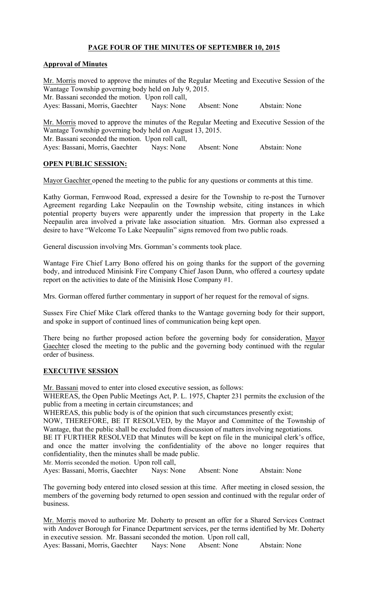## **PAGE FOUR OF THE MINUTES OF SEPTEMBER 10, 2015**

### **Approval of Minutes**

Mr. Morris moved to approve the minutes of the Regular Meeting and Executive Session of the Wantage Township governing body held on July 9, 2015. Mr. Bassani seconded the motion. Upon roll call, Ayes: Bassani, Morris, Gaechter Nays: None Absent: None Abstain: None Mr. Morris moved to approve the minutes of the Regular Meeting and Executive Session of the

Wantage Township governing body held on August 13, 2015. Mr. Bassani seconded the motion. Upon roll call, Ayes: Bassani, Morris, Gaechter Nays: None Absent: None Abstain: None

### **OPEN PUBLIC SESSION:**

Mayor Gaechter opened the meeting to the public for any questions or comments at this time.

Kathy Gorman, Fernwood Road, expressed a desire for the Township to re-post the Turnover Agreement regarding Lake Neepaulin on the Township website, citing instances in which potential property buyers were apparently under the impression that property in the Lake Neepaulin area involved a private lake association situation. Mrs. Gorman also expressed a desire to have "Welcome To Lake Neepaulin" signs removed from two public roads.

General discussion involving Mrs. Gornman's comments took place.

Wantage Fire Chief Larry Bono offered his on going thanks for the support of the governing body, and introduced Minisink Fire Company Chief Jason Dunn, who offered a courtesy update report on the activities to date of the Minisink Hose Company #1.

Mrs. Gorman offered further commentary in support of her request for the removal of signs.

Sussex Fire Chief Mike Clark offered thanks to the Wantage governing body for their support, and spoke in support of continued lines of communication being kept open.

There being no further proposed action before the governing body for consideration, Mayor Gaechter closed the meeting to the public and the governing body continued with the regular order of business.

### **EXECUTIVE SESSION**

Mr. Bassani moved to enter into closed executive session, as follows:

WHEREAS, the Open Public Meetings Act, P. L. 1975, Chapter 231 permits the exclusion of the public from a meeting in certain circumstances; and

WHEREAS, this public body is of the opinion that such circumstances presently exist;

NOW, THEREFORE, BE IT RESOLVED, by the Mayor and Committee of the Township of Wantage, that the public shall be excluded from discussion of matters involving negotiations.

BE IT FURTHER RESOLVED that Minutes will be kept on file in the municipal clerk's office, and once the matter involving the confidentiality of the above no longer requires that confidentiality, then the minutes shall be made public.

Mr. Morris seconded the motion. Upon roll call,

Ayes: Bassani, Morris, Gaechter Nays: None Absent: None Abstain: None

The governing body entered into closed session at this time. After meeting in closed session, the members of the governing body returned to open session and continued with the regular order of business.

Mr. Morris moved to authorize Mr. Doherty to present an offer for a Shared Services Contract with Andover Borough for Finance Department services, per the terms identified by Mr. Doherty in executive session. Mr. Bassani seconded the motion. Upon roll call,

Ayes: Bassani, Morris, Gaechter Nays: None Absent: None Abstain: None